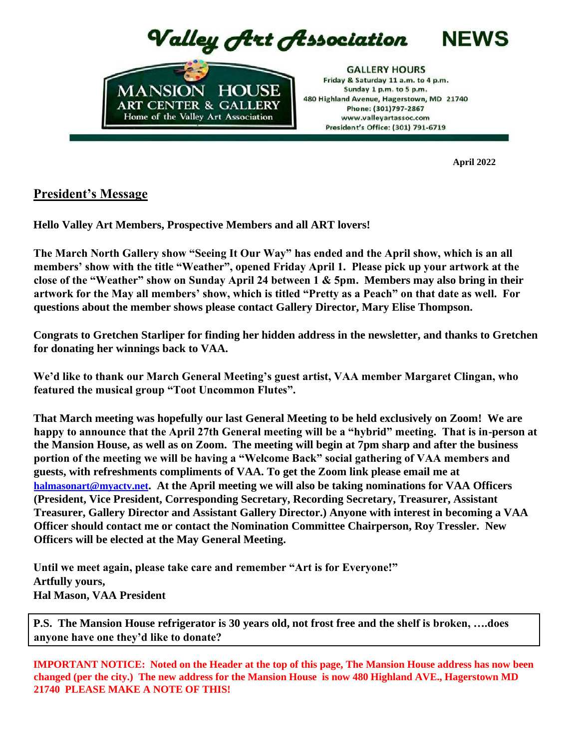Valley Art Association



**GALLERY HOURS** Friday & Saturday 11 a.m. to 4 p.m. Sunday 1 p.m. to 5 p.m. 480 Highland Avenue, Hagerstown, MD 21740 Phone: (301)797-2867 www.vallevartassoc.com President's Office: (301) 791-6719

**April 2022**

**NEWS** 

# **President's Message**

**Hello Valley Art Members, Prospective Members and all ART lovers!**

**The March North Gallery show "Seeing It Our Way" has ended and the April show, which is an all members' show with the title "Weather", opened Friday April 1. Please pick up your artwork at the close of the "Weather" show on Sunday April 24 between 1 & 5pm. Members may also bring in their artwork for the May all members' show, which is titled "Pretty as a Peach" on that date as well. For questions about the member shows please contact Gallery Director, Mary Elise Thompson.** 

**Congrats to Gretchen Starliper for finding her hidden address in the newsletter, and thanks to Gretchen for donating her winnings back to VAA.**

**We'd like to thank our March General Meeting's guest artist, VAA member Margaret Clingan, who featured the musical group "Toot Uncommon Flutes".** 

**That March meeting was hopefully our last General Meeting to be held exclusively on Zoom! We are happy to announce that the April 27th General meeting will be a "hybrid" meeting. That is in-person at the Mansion House, as well as on Zoom. The meeting will begin at 7pm sharp and after the business portion of the meeting we will be having a "Welcome Back" social gathering of VAA members and guests, with refreshments compliments of VAA. To get the Zoom link please email me at halmasonart@myactv.net. At the April meeting we will also be taking nominations for VAA Officers (President, Vice President, Corresponding Secretary, Recording Secretary, Treasurer, Assistant Treasurer, Gallery Director and Assistant Gallery Director.) Anyone with interest in becoming a VAA Officer should contact me or contact the Nomination Committee Chairperson, Roy Tressler. New Officers will be elected at the May General Meeting.**

**Until we meet again, please take care and remember "Art is for Everyone!" Artfully yours, Hal Mason, VAA President**

**P.S. The Mansion House refrigerator is 30 years old, not frost free and the shelf is broken, ….does anyone have one they'd like to donate?** 

**IMPORTANT NOTICE: Noted on the Header at the top of this page, The Mansion House address has now been changed (per the city.) The new address for the Mansion House is now 480 Highland AVE., Hagerstown MD 21740 PLEASE MAKE A NOTE OF THIS!**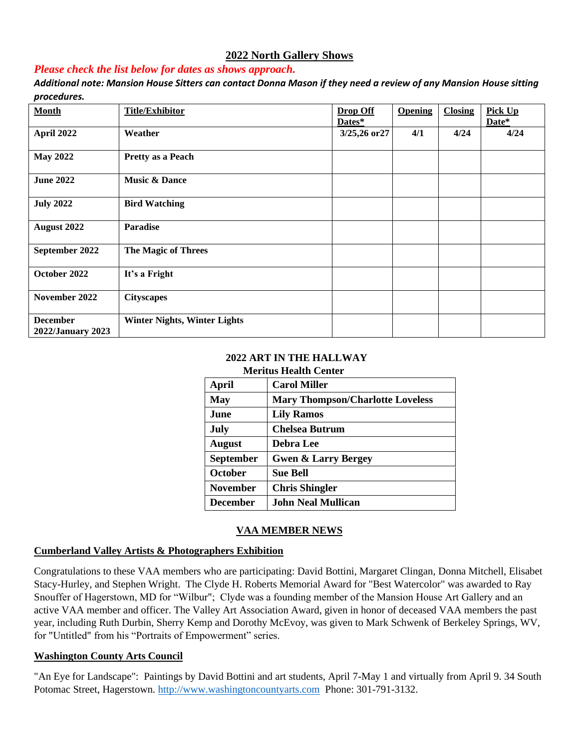# **2022 North Gallery Shows**

## *Please check the list below for dates as shows approach.*

*Additional note: Mansion House Sitters can contact Donna Mason if they need a review of any Mansion House sitting procedures.*

| <b>Month</b>                         | <b>Title/Exhibitor</b>              | <b>Drop Off</b><br>Dates* | <b>Opening</b> | <b>Closing</b> | Pick Up<br>Date* |
|--------------------------------------|-------------------------------------|---------------------------|----------------|----------------|------------------|
| April 2022                           | Weather                             | 3/25,26 or 27             | 4/1            | 4/24           | 4/24             |
| <b>May 2022</b>                      | <b>Pretty as a Peach</b>            |                           |                |                |                  |
| <b>June 2022</b>                     | <b>Music &amp; Dance</b>            |                           |                |                |                  |
| <b>July 2022</b>                     | <b>Bird Watching</b>                |                           |                |                |                  |
| August 2022                          | <b>Paradise</b>                     |                           |                |                |                  |
| September 2022                       | <b>The Magic of Threes</b>          |                           |                |                |                  |
| October 2022                         | It's a Fright                       |                           |                |                |                  |
| November 2022                        | <b>Cityscapes</b>                   |                           |                |                |                  |
| <b>December</b><br>2022/January 2023 | <b>Winter Nights, Winter Lights</b> |                           |                |                |                  |

#### **2022 ART IN THE HALLWAY Meritus Health Center**

| wich nus Incunin Center |                                         |  |  |
|-------------------------|-----------------------------------------|--|--|
| <b>April</b>            | <b>Carol Miller</b>                     |  |  |
| <b>May</b>              | <b>Mary Thompson/Charlotte Loveless</b> |  |  |
| <b>June</b>             | <b>Lily Ramos</b>                       |  |  |
| July                    | <b>Chelsea Butrum</b>                   |  |  |
| <b>August</b>           | <b>Debra Lee</b>                        |  |  |
| <b>September</b>        | <b>Gwen &amp; Larry Bergey</b>          |  |  |
| October                 | <b>Sue Bell</b>                         |  |  |
| <b>November</b>         | <b>Chris Shingler</b>                   |  |  |
| <b>December</b>         | <b>John Neal Mullican</b>               |  |  |

### **VAA MEMBER NEWS**

### **Cumberland Valley Artists & Photographers Exhibition**

Congratulations to these VAA members who are participating: David Bottini, Margaret Clingan, Donna Mitchell, Elisabet Stacy-Hurley, and Stephen Wright. The Clyde H. Roberts Memorial Award for "Best Watercolor" was awarded to Ray Snouffer of Hagerstown, MD for "Wilbur"; Clyde was a founding member of the Mansion House Art Gallery and an active VAA member and officer. The Valley Art Association Award, given in honor of deceased VAA members the past year, including Ruth Durbin, Sherry Kemp and Dorothy McEvoy, was given to Mark Schwenk of Berkeley Springs, WV, for "Untitled" from his "Portraits of Empowerment" series.

### **Washington County Arts Council**

"An Eye for Landscape": Paintings by David Bottini and art students, April 7-May 1 and virtually from April 9. 34 South Potomac Street, Hagerstown. http://www.washingtoncountyarts.com Phone: 301-791-3132.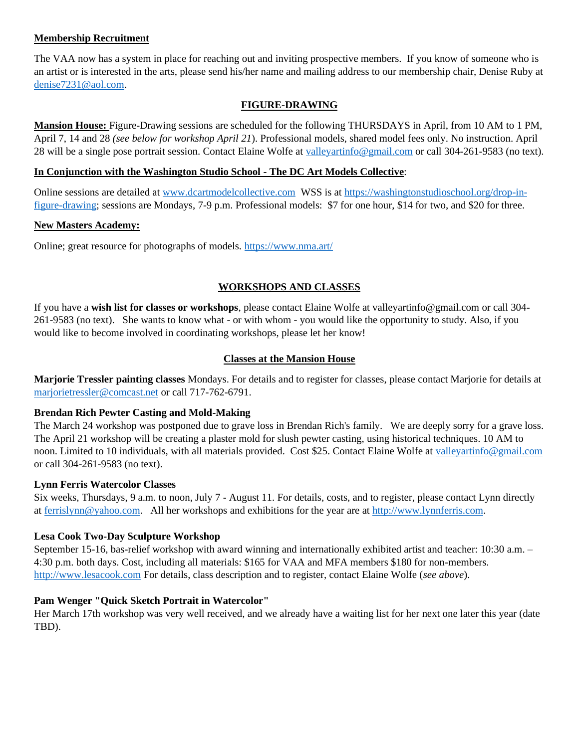### **Membership Recruitment**

The VAA now has a system in place for reaching out and inviting prospective members. If you know of someone who is an artist or is interested in the arts, please send his/her name and mailing address to our membership chair, Denise Ruby at denise7231@aol.com.

### **FIGURE-DRAWING**

**Mansion House:** Figure-Drawing sessions are scheduled for the following THURSDAYS in April, from 10 AM to 1 PM, April 7, 14 and 28 *(see below for workshop April 21*). Professional models, shared model fees only. No instruction. April 28 will be a single pose portrait session. Contact Elaine Wolfe at valleyartinfo@gmail.com or call 304-261-9583 (no text).

### **In Conjunction with the Washington Studio School - The DC Art Models Collective**:

Online sessions are detailed at [www.dcartmodelcollective.com](http://www.dcartmodelcollective.com/) WSS is at [https://washingtonstudioschool.org/drop-in](https://washingtonstudioschool.org/drop-in-figure-drawing)[figure-drawing;](https://washingtonstudioschool.org/drop-in-figure-drawing) sessions are Mondays, 7-9 p.m. Professional models: \$7 for one hour, \$14 for two, and \$20 for three.

### **New Masters Academy:**

Online; great resource for photographs of models.<https://www.nma.art/>

## **WORKSHOPS AND CLASSES**

If you have a **wish list for classes or workshops**, please contact Elaine Wolfe at valleyartinfo@gmail.com or call 304- 261-9583 (no text). She wants to know what - or with whom - you would like the opportunity to study. Also, if you would like to become involved in coordinating workshops, please let her know!

## **Classes at the Mansion House**

**Marjorie Tressler painting classes** Mondays. For details and to register for classes, please contact Marjorie for details at marjorietressler@comcast.net or call 717-762-6791.

## **Brendan Rich Pewter Casting and Mold-Making**

The March 24 workshop was postponed due to grave loss in Brendan Rich's family. We are deeply sorry for a grave loss. The April 21 workshop will be creating a plaster mold for slush pewter casting, using historical techniques. 10 AM to noon. Limited to 10 individuals, with all materials provided. Cost \$25. Contact Elaine Wolfe at valleyartinfo@gmail.com or call 304-261-9583 (no text).

### **Lynn Ferris Watercolor Classes**

Six weeks, Thursdays, 9 a.m. to noon, July 7 - August 11. For details, costs, and to register, please contact Lynn directly at ferrislynn@yahoo.com. All her workshops and exhibitions for the year are at [http://www.lynnferris.com.](http://www.lynnferris.com/)

## **Lesa Cook Two-Day Sculpture Workshop**

September 15-16, bas-relief workshop with award winning and internationally exhibited artist and teacher: 10:30 a.m. – 4:30 p.m. both days. Cost, including all materials: \$165 for VAA and MFA members \$180 for non-members. [http://www.lesacook.com](http://www.lesacook.com/) For details, class description and to register, contact Elaine Wolfe (*see above*).

## **Pam Wenger "Quick Sketch Portrait in Watercolor"**

Her March 17th workshop was very well received, and we already have a waiting list for her next one later this year (date TBD).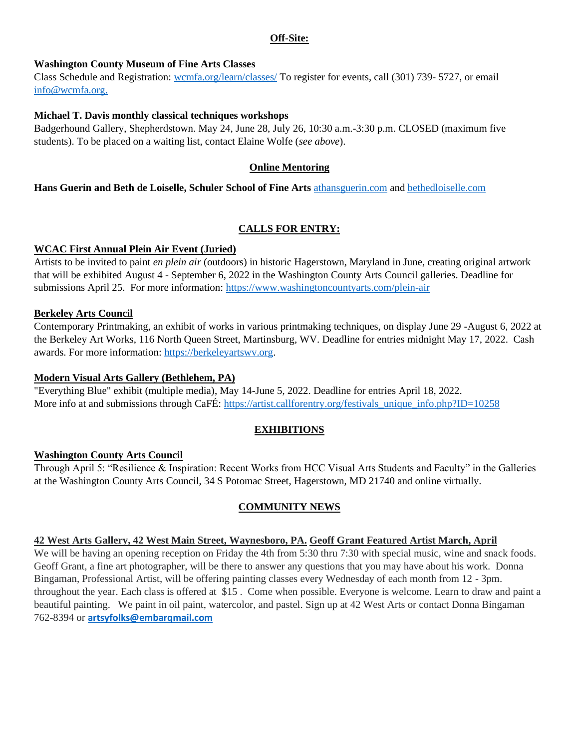### **Off-Site:**

# **Washington County Museum of Fine Arts Classes**

Class Schedule and Registration: wcmfa.org/learn/classes/ To register for events, call (301) 739- 5727, or email info@wcmfa.org.

# **Michael T. Davis monthly classical techniques workshops**

Badgerhound Gallery, Shepherdstown. May 24, June 28, July 26, 10:30 a.m.-3:30 p.m. CLOSED (maximum five students). To be placed on a waiting list, contact Elaine Wolfe (*see above*).

# **Online Mentoring**

**Hans Guerin and Beth de Loiselle, Schuler School of Fine Arts** athansguerin.com and bethedloiselle.com

# **CALLS FOR ENTRY:**

# **WCAC First Annual Plein Air Event (Juried)**

Artists to be invited to paint *en plein air* (outdoors) in historic Hagerstown, Maryland in June, creating original artwork that will be exhibited August 4 - September 6, 2022 in the Washington County Arts Council galleries. Deadline for submissions April 25. For more information: https://www.washingtoncountyarts.com/plein-air

# **Berkeley Arts Council**

Contemporary Printmaking, an exhibit of works in various printmaking techniques, on display June 29 -August 6, 2022 at the Berkeley Art Works, 116 North Queen Street, Martinsburg, WV. Deadline for entries midnight May 17, 2022. Cash awards. For more information: [https://berkeleyartswv.org.](https://berkeleyartswv.org/)

# **Modern Visual Arts Gallery (Bethlehem, PA)**

"Everything Blue" exhibit (multiple media), May 14-June 5, 2022. Deadline for entries April 18, 2022. More info at and submissions through CaFÉ: https://artist.callforentry.org/festivals\_unique\_info.php?ID=10258

# **EXHIBITIONS**

# **Washington County Arts Council**

Through April 5: "Resilience & Inspiration: Recent Works from HCC Visual Arts Students and Faculty" in the Galleries at the Washington County Arts Council, 34 S Potomac Street, Hagerstown, MD 21740 and online virtually.

# **COMMUNITY NEWS**

# **42 West Arts Gallery, 42 West Main Street, Waynesboro, PA. Geoff Grant Featured Artist March, April**

We will be having an opening reception on Friday the 4th from 5:30 thru 7:30 with special music, wine and snack foods. Geoff Grant, a fine art photographer, will be there to answer any questions that you may have about his work. Donna Bingaman, Professional Artist, will be offering painting classes every Wednesday of each month from 12 - 3pm. throughout the year. Each class is offered at \$15 . Come when possible. Everyone is welcome. Learn to draw and paint a beautiful painting. We paint in oil paint, watercolor, and pastel. Sign up at 42 West Arts or contact Donna Bingaman 762-8394 or **artsyfolks@embarqmail.com**